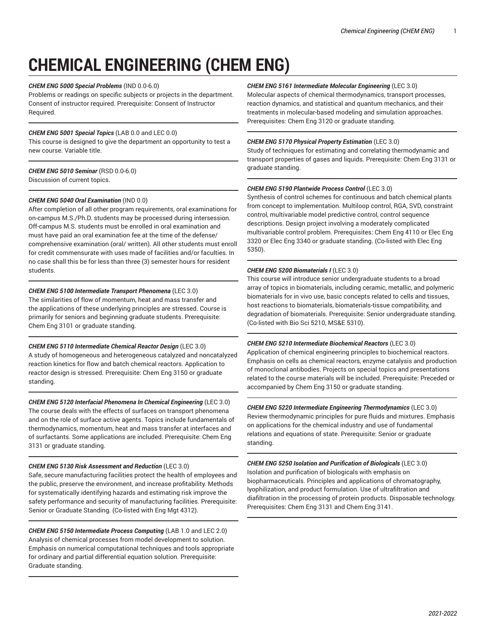# **CHEMICAL ENGINEERING (CHEM ENG)**

# *CHEM ENG 5000 Special Problems* (IND 0.0-6.0)

Problems or readings on specific subjects or projects in the department. Consent of instructor required. Prerequisite: Consent of Instructor Required.

# *CHEM ENG 5001 Special Topics* (LAB 0.0 and LEC 0.0)

This course is designed to give the department an opportunity to test a new course. Variable title.

# *CHEM ENG 5010 Seminar* (RSD 0.0-6.0) Discussion of current topics.

# *CHEM ENG 5040 Oral Examination* (IND 0.0)

After completion of all other program requirements, oral examinations for on-campus M.S./Ph.D. students may be processed during intersession. Off-campus M.S. students must be enrolled in oral examination and must have paid an oral examination fee at the time of the defense/ comprehensive examination (oral/ written). All other students must enroll for credit commensurate with uses made of facilities and/or faculties. In no case shall this be for less than three (3) semester hours for resident students.

# *CHEM ENG 5100 Intermediate Transport Phenomena* (LEC 3.0)

The similarities of flow of momentum, heat and mass transfer and the applications of these underlying principles are stressed. Course is primarily for seniors and beginning graduate students. Prerequisite: Chem Eng 3101 or graduate standing.

# *CHEM ENG 5110 Intermediate Chemical Reactor Design* (LEC 3.0)

A study of homogeneous and heterogeneous catalyzed and noncatalyzed reaction kinetics for flow and batch chemical reactors. Application to reactor design is stressed. Prerequisite: Chem Eng 3150 or graduate standing.

# *CHEM ENG 5120 Interfacial Phenomena In Chemical Engineering* (LEC 3.0)

The course deals with the effects of surfaces on transport phenomena and on the role of surface active agents. Topics include fundamentals of thermodynamics, momentum, heat and mass transfer at interfaces and of surfactants. Some applications are included. Prerequisite: Chem Eng 3131 or graduate standing.

# *CHEM ENG 5130 Risk Assessment and Reduction* (LEC 3.0)

Safe, secure manufacturing facilities protect the health of employees and the public, preserve the environment, and increase profitability. Methods for systematically identifying hazards and estimating risk improve the safety performance and security of manufacturing facilities. Prerequisite: Senior or Graduate Standing. (Co-listed with Eng Mgt 4312).

*CHEM ENG 5150 Intermediate Process Computing* (LAB 1.0 and LEC 2.0) Analysis of chemical processes from model development to solution. Emphasis on numerical computational techniques and tools appropriate for ordinary and partial differential equation solution. Prerequisite: Graduate standing.

# *CHEM ENG 5161 Intermediate Molecular Engineering* (LEC 3.0)

Molecular aspects of chemical thermodynamics, transport processes, reaction dynamics, and statistical and quantum mechanics, and their treatments in molecular-based modeling and simulation approaches. Prerequisites: Chem Eng 3120 or graduate standing.

# *CHEM ENG 5170 Physical Property Estimation* (LEC 3.0)

Study of techniques for estimating and correlating thermodynamic and transport properties of gases and liquids. Prerequisite: Chem Eng 3131 or graduate standing.

# *CHEM ENG 5190 Plantwide Process Control* (LEC 3.0)

Synthesis of control schemes for continuous and batch chemical plants from concept to implementation. Multiloop control, RGA, SVD, constraint control, multivariable model predictive control, control sequence descriptions. Design project involving a moderately complicated multivariable control problem. Prerequisites: Chem Eng 4110 or Elec Eng 3320 or Elec Eng 3340 or graduate standing. (Co-listed with Elec Eng 5350).

# *CHEM ENG 5200 Biomaterials I* (LEC 3.0)

This course will introduce senior undergraduate students to a broad array of topics in biomaterials, including ceramic, metallic, and polymeric biomaterials for in vivo use, basic concepts related to cells and tissues, host reactions to biomaterials, biomaterials-tissue compatibility, and degradation of biomaterials. Prerequisite: Senior undergraduate standing. (Co-listed with Bio Sci 5210, MS&E 5310).

# *CHEM ENG 5210 Intermediate Biochemical Reactors* (LEC 3.0)

Application of chemical engineering principles to biochemical reactors. Emphasis on cells as chemical reactors, enzyme catalysis and production of monoclonal antibodies. Projects on special topics and presentations related to the course materials will be included. Prerequisite: Preceded or accompanied by Chem Eng 3150 or graduate standing.

# *CHEM ENG 5220 Intermediate Engineering Thermodynamics* (LEC 3.0) Review thermodynamic principles for pure fluids and mixtures. Emphasis on applications for the chemical industry and use of fundamental

relations and equations of state. Prerequisite: Senior or graduate standing.

*CHEM ENG 5250 Isolation and Purification of Biologicals* (LEC 3.0) Isolation and purification of biologicals with emphasis on biopharmaceuticals. Principles and applications of chromatography, lyophilization, and product formulation. Use of ultrafiltration and diafiltration in the processing of protein products. Disposable technology. Prerequisites: Chem Eng 3131 and Chem Eng 3141.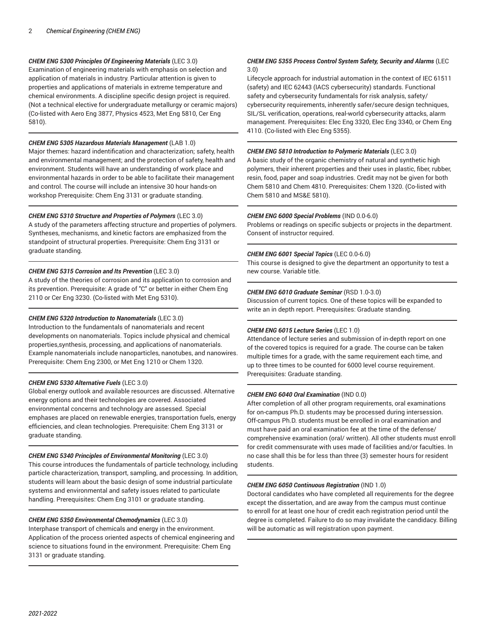# *CHEM ENG 5300 Principles Of Engineering Materials* (LEC 3.0)

Examination of engineering materials with emphasis on selection and application of materials in industry. Particular attention is given to properties and applications of materials in extreme temperature and chemical environments. A discipline specific design project is required. (Not a technical elective for undergraduate metallurgy or ceramic majors) (Co-listed with Aero Eng 3877, Physics 4523, Met Eng 5810, Cer Eng 5810).

#### *CHEM ENG 5305 Hazardous Materials Management* (LAB 1.0)

Major themes: hazard indentification and characterization; safety, health and environmental management; and the protection of safety, health and environment. Students will have an understanding of work place and environmental hazards in order to be able to facilitate their management and control. The course will include an intensive 30 hour hands-on workshop Prerequisite: Chem Eng 3131 or graduate standing.

#### *CHEM ENG 5310 Structure and Properties of Polymers* (LEC 3.0)

A study of the parameters affecting structure and properties of polymers. Syntheses, mechanisms, and kinetic factors are emphasized from the standpoint of structural properties. Prerequisite: Chem Eng 3131 or graduate standing.

# *CHEM ENG 5315 Corrosion and Its Prevention* (LEC 3.0)

A study of the theories of corrosion and its application to corrosion and its prevention. Prerequisite: A grade of "C" or better in either Chem Eng 2110 or Cer Eng 3230. (Co-listed with Met Eng 5310).

# *CHEM ENG 5320 Introduction to Nanomaterials* (LEC 3.0)

Introduction to the fundamentals of nanomaterials and recent developments on nanomaterials. Topics include physical and chemical properties,synthesis, processing, and applications of nanomaterials. Example nanomaterials include nanoparticles, nanotubes, and nanowires. Prerequisite: Chem Eng 2300, or Met Eng 1210 or Chem 1320.

#### *CHEM ENG 5330 Alternative Fuels* (LEC 3.0)

Global energy outlook and available resources are discussed. Alternative energy options and their technologies are covered. Associated environmental concerns and technology are assessed. Special emphases are placed on renewable energies, transportation fuels, energy efficiencies, and clean technologies. Prerequisite: Chem Eng 3131 or graduate standing.

#### *CHEM ENG 5340 Principles of Environmental Monitoring* (LEC 3.0)

This course introduces the fundamentals of particle technology, including particle characterization, transport, sampling, and processing. In addition, students will learn about the basic design of some industrial particulate systems and environmental and safety issues related to particulate handling. Prerequisites: Chem Eng 3101 or graduate standing.

# *CHEM ENG 5350 Environmental Chemodynamics* (LEC 3.0)

Interphase transport of chemicals and energy in the environment. Application of the process oriented aspects of chemical engineering and science to situations found in the environment. Prerequisite: Chem Eng 3131 or graduate standing.

#### *CHEM ENG 5355 Process Control System Safety, Security and Alarms* (LEC 3.0)

Lifecycle approach for industrial automation in the context of IEC 61511 (safety) and IEC 62443 (IACS cybersecurity) standards. Functional safety and cybersecurity fundamentals for risk analysis, safety/ cybersecurity requirements, inherently safer/secure design techniques, SIL/SL verification, operations, real-world cybersecurity attacks, alarm management. Prerequisites: Elec Eng 3320, Elec Eng 3340, or Chem Eng 4110. (Co-listed with Elec Eng 5355).

#### *CHEM ENG 5810 Introduction to Polymeric Materials* (LEC 3.0)

A basic study of the organic chemistry of natural and synthetic high polymers, their inherent properties and their uses in plastic, fiber, rubber, resin, food, paper and soap industries. Credit may not be given for both Chem 5810 and Chem 4810. Prerequisites: Chem 1320. (Co-listed with Chem 5810 and MS&E 5810).

#### *CHEM ENG 6000 Special Problems* (IND 0.0-6.0)

Problems or readings on specific subjects or projects in the department. Consent of instructor required.

#### *CHEM ENG 6001 Special Topics* (LEC 0.0-6.0)

This course is designed to give the department an opportunity to test a new course. Variable title.

#### *CHEM ENG 6010 Graduate Seminar* (RSD 1.0-3.0)

Discussion of current topics. One of these topics will be expanded to write an in depth report. Prerequisites: Graduate standing.

#### *CHEM ENG 6015 Lecture Series* (LEC 1.0)

Attendance of lecture series and submission of in-depth report on one of the covered topics is required for a grade. The course can be taken multiple times for a grade, with the same requirement each time, and up to three times to be counted for 6000 level course requirement. Prerequisites: Graduate standing.

#### *CHEM ENG 6040 Oral Examination* (IND 0.0)

After completion of all other program requirements, oral examinations for on-campus Ph.D. students may be processed during intersession. Off-campus Ph.D. students must be enrolled in oral examination and must have paid an oral examination fee at the time of the defense/ comprehensive examination (oral/ written). All other students must enroll for credit commensurate with uses made of facilities and/or faculties. In no case shall this be for less than three (3) semester hours for resident students.

#### *CHEM ENG 6050 Continuous Registration* (IND 1.0)

Doctoral candidates who have completed all requirements for the degree except the dissertation, and are away from the campus must continue to enroll for at least one hour of credit each registration period until the degree is completed. Failure to do so may invalidate the candidacy. Billing will be automatic as will registration upon payment.